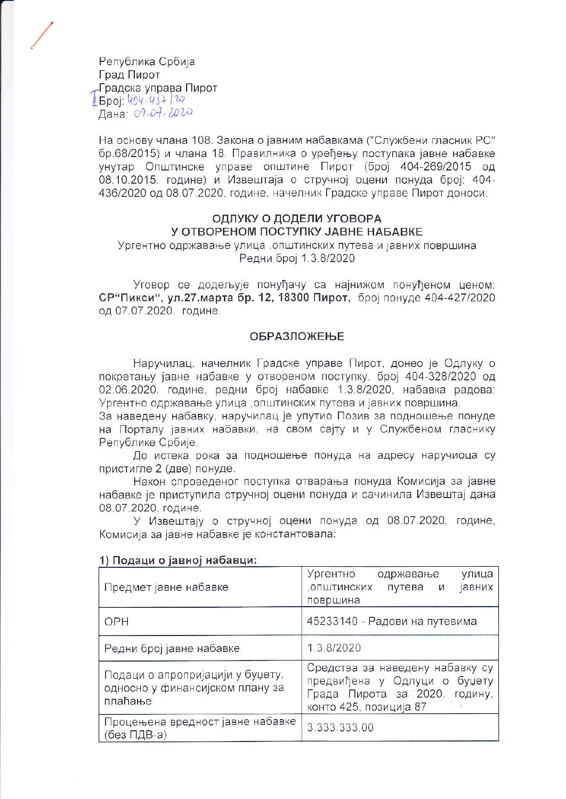Република Србија Град Пирот Градска управа Пирот  $15poi: 404-457/20$ Дана: 09.07.2020

На основу члана 108. Закона о јавним набавкама ("Службени гласник РС" бр.68/2015) и члана 18. Правилника о уређењу поступака јавне набавке унутар Општинске управе општине Пирот (број 404-269/2015 од 08.10.2015. године) и Извештаја о стручној оцени понуда број: 404-436/2020 од 08.07.2020. године, начелник Градске управе Пирот доноси:

#### ОДЛУКУ О ДОДЕЛИ УГОВОРА У ОТВОРЕНОМ ПОСТУПКУ ЈАВНЕ НАБАВКЕ

Ургентно одржавање улица, општинских путева и јавних површина Редни број 1.3.8/2020

Уговор се додељује понуђачу са најнижом понуђеном ценом: СР"Пикси", ул.27.марта бр. 12, 18300 Пирот, број понуде 404-427/2020 од 07.07.2020. године.

#### **ОБРАЗЛОЖЕЊЕ**

Наручилац, начелник Градске управе Пирот, донео је Одлуку о покретању јавне набавке у отвореном поступку, број 404-328/2020 од 02.06.2020. године, редни број набавке 1.3.8/2020, набавка радова: Ургентно одржавање улица, општинских путева и јавних површина.

За наведену набавку, наручилац је упутио Позив за подношење понуде на Порталу јавних набавки, на свом сајту и у Службеном гласнику Републике Србије.

До истека рока за подношење понуда на адресу наручиоца су пристигле 2 (две) понуде.

Након спроведеног поступка отварања понуда Комисија за јавне набавке је приступила стручној оцени понуда и сачинила Извештај дана 08.07.2020. године.

У Извештају о стручној оцени понуда од 08.07.2020. године, Комисија за јавне набавке је константовала:

| Предмет јавне набавке                                                          | Ургентно<br>одржавање<br>улица<br>, ОПШТИНСКИХ<br>путева<br><b>авних</b><br>И<br>површина                                     |  |  |
|--------------------------------------------------------------------------------|-------------------------------------------------------------------------------------------------------------------------------|--|--|
| OPH                                                                            | 45233140 - Радови на путевима                                                                                                 |  |  |
| Редни број јавне набавке                                                       | 1.3.8/2020                                                                                                                    |  |  |
| Подаци о апропријацији у буџету,<br>односно у финансијском плану за<br>плаћање | Средства за наведену набавку су<br>предвиђена у Одлуци о буџету<br>Града Пирота за 2020.<br>годину,<br>конто 425, позиција 87 |  |  |
| Процењена вредност јавне набавке<br>(без ПДВ-а)                                | 3.333.333,00                                                                                                                  |  |  |

#### 1) Подаци о јавној набавци: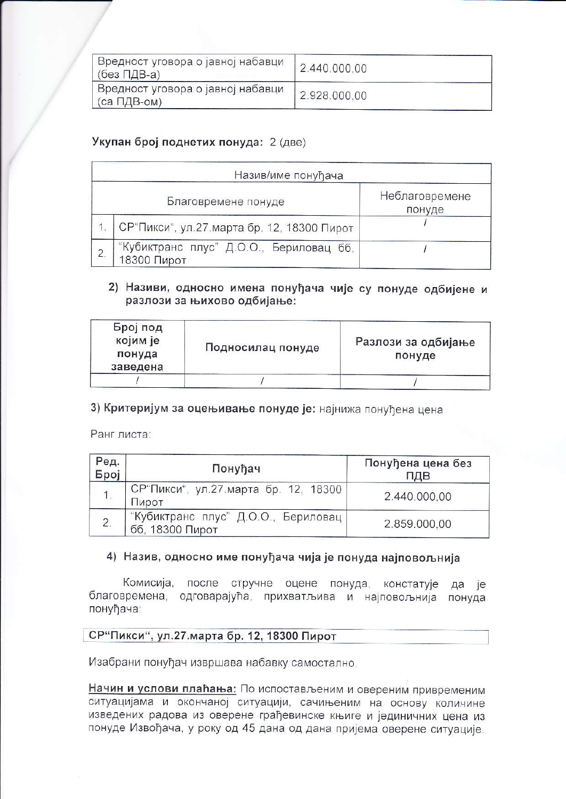| Вредност уговора о јавној набавци<br>(без ПДВ-а) | 2.440.000.00 |
|--------------------------------------------------|--------------|
| Вредност уговора о јавној набавци<br>(са ПДВ-ом) | 2.928.000,00 |

## Укупан број поднетих понуда: 2 (две)

| Назив/име понуђача  |                                                        |                          |  |  |
|---------------------|--------------------------------------------------------|--------------------------|--|--|
| Благовремене понуде |                                                        | Неблаговремене<br>понуде |  |  |
|                     | СР"Пикси", ул.27 марта бр. 12, 18300 Пирот             |                          |  |  |
|                     | "Кубиктранс плус" Д.О.О., Бериловац бб,<br>18300 Пирот |                          |  |  |

### 2) Називи, односно имена понуђача чије су понуде одбијене и разлози за њихово одбијање:

| Број под<br>којим је<br>понуда<br>заведена | Подносилац понуде | Разлози за одбијање<br>понуде |
|--------------------------------------------|-------------------|-------------------------------|
|                                            |                   |                               |

## 3) Критеријум за оцењивање понуде је: најнижа понуђена цена

Ранг листа:

| Ред.<br>Број | Понуђач                                                | Понуђена цена без<br>ПДВ |
|--------------|--------------------------------------------------------|--------------------------|
|              | СР"Пикси", ул.27 марта бр. 12, 18300<br>Пирот          | 2.440.000,00             |
| 2.           | "Кубиктранс плус" Д.О.О., Бериловац<br>бб, 18300 Пирот | 2.859.000,00             |

### 4) Назив, односно име понуђача чија је понуда најповољнија

Комисија, после стручне оцене понуда, констатује да је благовремена, одговарајућа, прихватљива и најповољнија понуда понуђача:

# СР"Пикси", ул.27.марта бр. 12, 18300 Пирот

Изабрани понуђач извршава набавку самостално.

Начин и услови плаћања: По испостављеним и овереним привременим ситуацијама и окончаној ситуацији, сачињеним на основу количине изведених радова из оверене грађевинске књиге и јединичних цена из понуде Извођача, у року од 45 дана од дана пријема оверене ситуације.